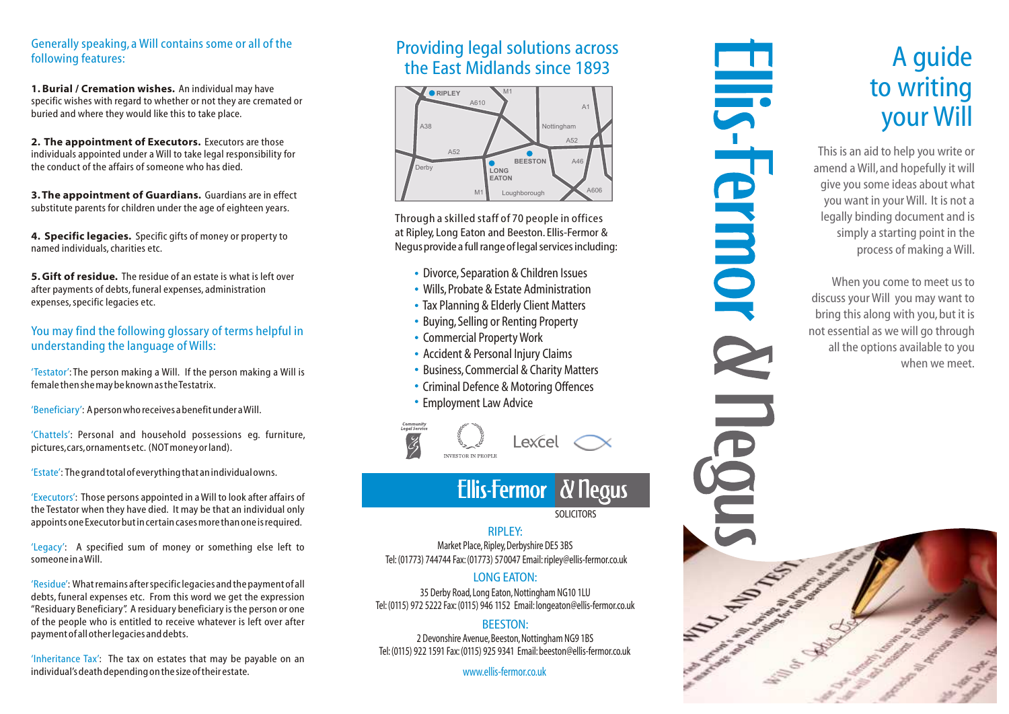### Generally speaking, a Will contains some or all of the following features:

1. Burial / Cremation wishes. An individual may have specific wishes with regard to whether or not they are cremated or buried and where they would like this to take place.

2. The appointment of Executors. Executors are those individuals appointed under a Will to take legal responsibility for the conduct of the affairs of someone who has died.

3. The appointment of Guardians. Guardians are in effect substitute parents for children under the age of eighteen years.

**4. Specific legacies.** Specific gifts of money or property to named individuals, charities etc.

**5. Gift of residue.** The residue of an estate is what is left over after payments of debts, funeral expenses, administration expenses, specific legacies etc.

### You may find the following glossary of terms helpful in understanding the language of Wills:

' Testator': The person making a Will. If the person making a Will is ' female then she may be known as the Testatrix.

' Beneficiary': A person who receives a benefit under a Will. '

' Chattels': Personal and household possessions eg. furniture, ' pictures, cars, ornaments etc. (NOT money or land).

' Estate': The grand total of everything that an individual owns.

' Executors': Those persons appointed in a Will to look after affairs of the Testator when they have died. It may be that an individual only appoints one Executor but in certain cases more than one is required.

'Legacy': A specified sum of money or something else left to ' someone in a Will.

' Residue': What remains after specific legacies and the payment of all debts, funeral expenses etc. From this word we get the expression "Residuary Beneficiary". A residuary beneficiary is the person or one of the people who is entitled to receive whatever is left over after payment of all other legacies and debts.

'Inheritance Tax': The tax on estates that may be payable on an ' individual's death depending on the size of their estate.

### Providing legal solutions across the East Midlands since 1893



Through a skilled staff of 70 people in offices at Riple y, Long Eaton and Beeston. Ellis-Fer mor & Negus pr ovide a full range of legal services including:

- Divorce, Separation & Children Issues
- Wills, Probate & Estate Administration
- Tax Planning & Elderly Client Matters
- Buying, Selling or Renting Property
- Commercial Property Work
- Accident & Personal Injury Claims
- Business, Commercial & Charity Matters
- Criminal Defence & Motoring Offences
- Employment Law Advice



# **Ellis-Fermor & Negus**

S O LICIT O R S

### RIPLE Y:

Market Place, Ripley, Derbyshire DE5 3BS Tel: (01773) 744744 Fax: (01773) 570047 Email: ripley@ellis-fermor.co.uk

### LONG EATON :

35 Derby Road, Long Eaton, Nottingham NG10 1LU Tel: (0115) 972 5222 Fax: (0115) 946 1152 Email: longeaton@ellis-fermor.co.uk

### BEES TON:

2 Devonshire Avenue, Beeston, Nottingham NG9 1BS Tel: (0115) 922 1591 Fax: (0115) 925 9341 Email: beeston@ellis-fermor.co.uk

www.ellis-fermor.co.uk

# A guide to writing your Will

This is an aid to help you write or amend a Will, and hopefully it will give you some ideas about what you want in your Will. It is not a legally binding document and is simply a starting point in the process of making a Will.

**IIS-Fermo** 

When you come to meet us to discuss your Will you may want to bring this along with you , but it is not essential as we will go through all the options a vailable to you when we meet.